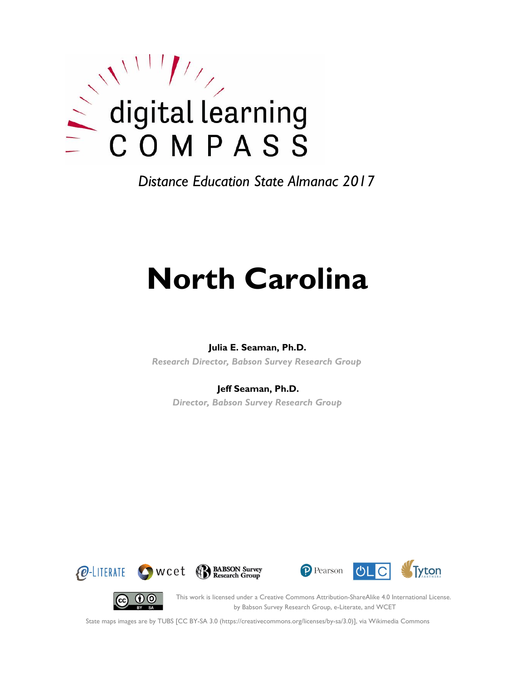

*Distance Education State Almanac 2017*

# **North Carolina**

#### **Julia E. Seaman, Ph.D.**

*Research Director, Babson Survey Research Group*

#### **Jeff Seaman, Ph.D.**

*Director, Babson Survey Research Group*







(cc)

This work is licensed under a Creative Commons Attribution-ShareAlike 4.0 International License. by Babson Survey Research Group, e-Literate, and WCET

State maps images are by TUBS [CC BY-SA 3.0 (https://creativecommons.org/licenses/by-sa/3.0)], via Wikimedia Commons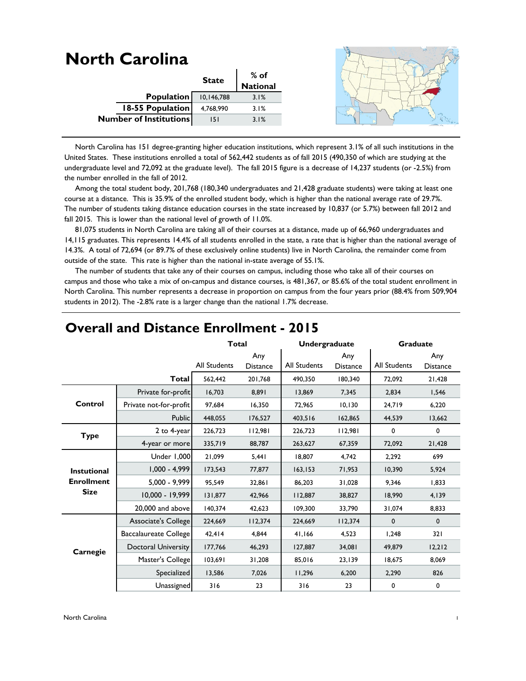#### **North Carolina State % of National** 10,146,788 3.1% 4,768,990 3.1% 151 3.1% **Population 18-55 Population Number of Institutions**

 North Carolina has 151 degree-granting higher education institutions, which represent 3.1% of all such institutions in the United States. These institutions enrolled a total of 562,442 students as of fall 2015 (490,350 of which are studying at the undergraduate level and 72,092 at the graduate level). The fall 2015 figure is a decrease of 14,237 students (or -2.5%) from the number enrolled in the fall of 2012.

Among the total student body, 201,768 (180,340 undergraduates and 21,428 graduate students) were taking at least one course at a distance. This is 35.9% of the enrolled student body, which is higher than the national average rate of 29.7%. The number of students taking distance education courses in the state increased by 10,837 (or 5.7%) between fall 2012 and fall 2015. This is lower than the national level of growth of 11.0%.

 81,075 students in North Carolina are taking all of their courses at a distance, made up of 66,960 undergraduates and 14,115 graduates. This represents 14.4% of all students enrolled in the state, a rate that is higher than the national average of 14.3%. A total of 72,694 (or 89.7% of these exclusively online students) live in North Carolina, the remainder come from outside of the state. This rate is higher than the national in-state average of 55.1%.

 The number of students that take any of their courses on campus, including those who take all of their courses on campus and those who take a mix of on-campus and distance courses, is 481,367, or 85.6% of the total student enrollment in North Carolina. This number represents a decrease in proportion on campus from the four years prior (88.4% from 509,904 students in 2012). The -2.8% rate is a larger change than the national 1.7% decrease.

|                    |                              | <b>Total</b>        |                        | <b>Undergraduate</b> |                        | <b>Graduate</b>     |                        |
|--------------------|------------------------------|---------------------|------------------------|----------------------|------------------------|---------------------|------------------------|
|                    |                              | <b>All Students</b> | Any<br><b>Distance</b> | All Students         | Any<br><b>Distance</b> | <b>All Students</b> | Any<br><b>Distance</b> |
|                    | Total                        | 562.442             | 201,768                | 490.350              | 180.340                | 72.092              | 21,428                 |
|                    | Private for-profit           | 16,703              | 8,891                  | 13,869               | 7,345                  | 2,834               | 1,546                  |
| Control            | Private not-for-profit       | 97,684              | 16,350                 | 72,965               | 10, 130                | 24,719              | 6,220                  |
|                    | <b>Public</b>                | 448,055             | 176,527                | 403,516              | 162,865                | 44,539              | 13,662                 |
| <b>Type</b>        | 2 to 4-year                  | 226,723             | 112,981                | 226,723              | 112,981                | 0                   | $\mathbf 0$            |
|                    | 4-year or more               | 335,719             | 88,787                 | 263,627              | 67,359                 | 72,092              | 21,428                 |
|                    | <b>Under 1,000</b>           | 21,099              | 5,441                  | 18,807               | 4,742                  | 2,292               | 699                    |
| <b>Instutional</b> | $1,000 - 4,999$              | 173,543             | 77,877                 | 163, 153             | 71,953                 | 10,390              | 5,924                  |
| <b>Enrollment</b>  | $5,000 - 9,999$              | 95,549              | 32,861                 | 86,203               | 31,028                 | 9,346               | 1,833                  |
| <b>Size</b>        | 10,000 - 19,999              | 131.877             | 42,966                 | 112.887              | 38.827                 | 18.990              | 4,139                  |
|                    | 20,000 and above             | 140,374             | 42,623                 | 109,300              | 33,790                 | 31,074              | 8,833                  |
|                    | Associate's College          | 224,669             | 112,374                | 224.669              | 112,374                | 0                   | $\mathbf 0$            |
|                    | <b>Baccalaureate College</b> | 42,414              | 4,844                  | 41,166               | 4,523                  | 1,248               | 321                    |
| Carnegie           | <b>Doctoral University</b>   | 177,766             | 46,293                 | 127,887              | 34,081                 | 49,879              | 12,212                 |
|                    | Master's College             | 103,691             | 31,208                 | 85,016               | 23,139                 | 18,675              | 8,069                  |
|                    | Specialized                  | 13,586              | 7,026                  | 11,296               | 6,200                  | 2,290               | 826                    |
|                    | Unassigned                   | 316                 | 23                     | 316                  | 23                     | 0                   | 0                      |

# **Overall and Distance Enrollment - 2015**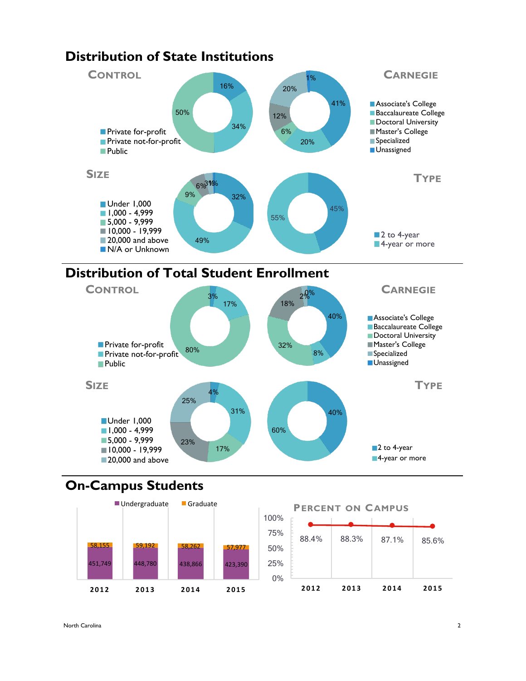

## **Distribution of State Institutions**





# **On-Campus Students**



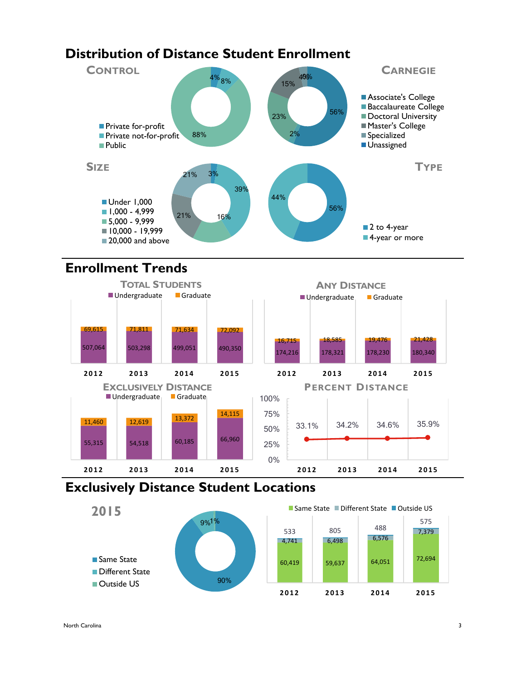# **Distribution of Distance Student Enrollment**



# **Enrollment Trends**



## **Exclusively Distance Student Locations**